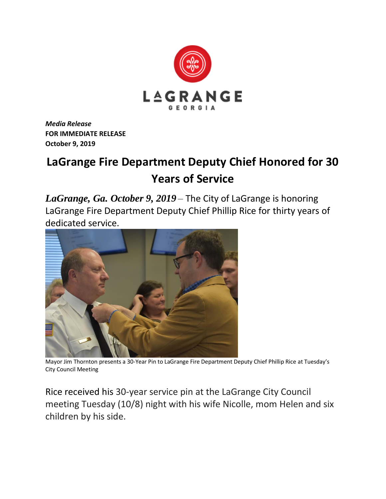

*Media Release* **FOR IMMEDIATE RELEASE October 9, 2019**

## **LaGrange Fire Department Deputy Chief Honored for 30 Years of Service**

*LaGrange, Ga. October 9, 2019* – The City of LaGrange is honoring LaGrange Fire Department Deputy Chief Phillip Rice for thirty years of dedicated service.



Mayor Jim Thornton presents a 30-Year Pin to LaGrange Fire Department Deputy Chief Phillip Rice at Tuesday's City Council Meeting

Rice received his 30-year service pin at the LaGrange City Council meeting Tuesday (10/8) night with his wife Nicolle, mom Helen and six children by his side.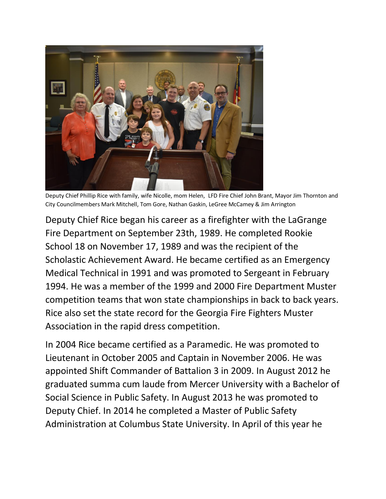

Deputy Chief Phillip Rice with family, wife Nicolle, mom Helen, LFD Fire Chief John Brant, Mayor Jim Thornton and City Councilmembers Mark Mitchell, Tom Gore, Nathan Gaskin, LeGree McCamey & Jim Arrington

Deputy Chief Rice began his career as a firefighter with the LaGrange Fire Department on September 23th, 1989. He completed Rookie School 18 on November 17, 1989 and was the recipient of the Scholastic Achievement Award. He became certified as an Emergency Medical Technical in 1991 and was promoted to Sergeant in February 1994. He was a member of the 1999 and 2000 Fire Department Muster competition teams that won state championships in back to back years. Rice also set the state record for the Georgia Fire Fighters Muster Association in the rapid dress competition.

In 2004 Rice became certified as a Paramedic. He was promoted to Lieutenant in October 2005 and Captain in November 2006. He was appointed Shift Commander of Battalion 3 in 2009. In August 2012 he graduated summa cum laude from Mercer University with a Bachelor of Social Science in Public Safety. In August 2013 he was promoted to Deputy Chief. In 2014 he completed a Master of Public Safety Administration at Columbus State University. In April of this year he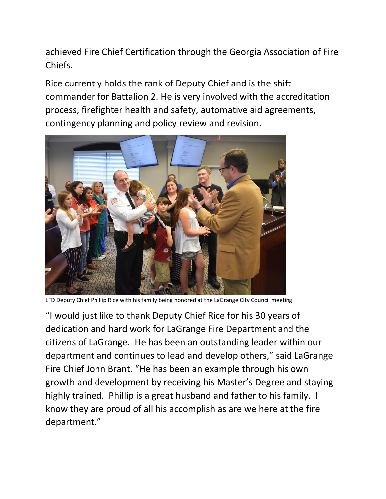achieved Fire Chief Certification through the Georgia Association of Fire Chiefs.

Rice currently holds the rank of Deputy Chief and is the shift commander for Battalion 2. He is very involved with the accreditation process, firefighter health and safety, automative aid agreements, contingency planning and policy review and revision.



LFD Deputy Chief Phillip Rice with his family being honored at the LaGrange City Council meeting

"I would just like to thank Deputy Chief Rice for his 30 years of dedication and hard work for LaGrange Fire Department and the citizens of LaGrange. He has been an outstanding leader within our department and continues to lead and develop others," said LaGrange Fire Chief John Brant. "He has been an example through his own growth and development by receiving his Master's Degree and staying highly trained. Phillip is a great husband and father to his family. I know they are proud of all his accomplish as are we here at the fire department."